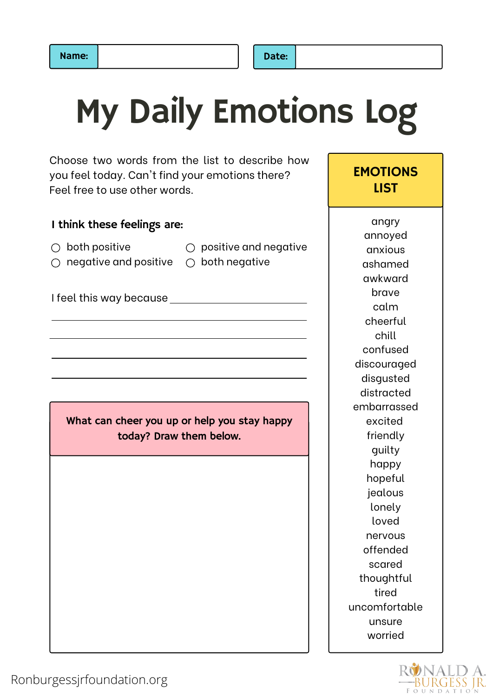## My Daily Emotions Log

Choose two words from the list to describe how you feel today. Can't find your emotions there? Feel free to use other words.

### I think these feelings are:

| $\bigcirc$ both positive                                  | $\bigcirc$ positive and negative |
|-----------------------------------------------------------|----------------------------------|
| $\bigcirc$ negative and positive $\bigcirc$ both negative |                                  |

I feel this way because

What can cheer you up or help you stay happy today? Draw them below.

angry annoyed anxious ashamed awkward brave calm cheerful chill confused discouraged disgusted distracted embarrassed excited friendly guilty happy hopeful jealous lonely loved nervous offended scared thoughtful tired uncomfortable unsure worried

**EMOTIONS** LIST

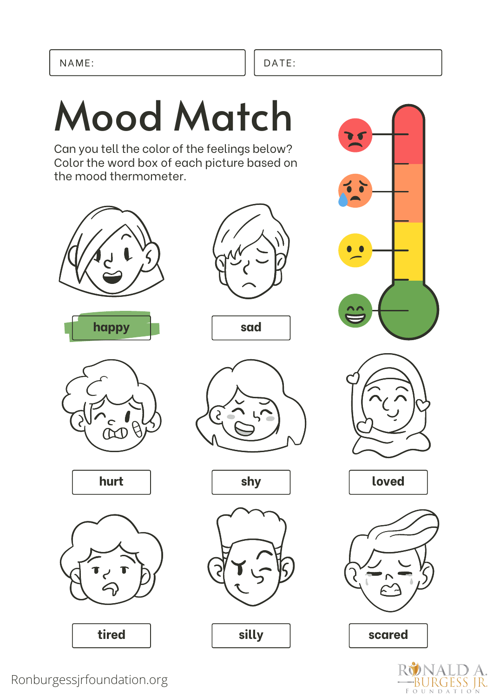## Mood Match

Can you tell the color of the feelings below? Color the word box of each picture based on the mood thermometer.













**sad**







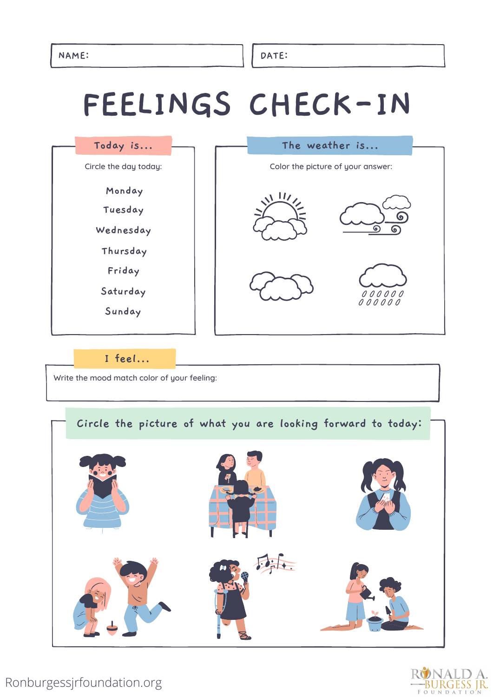## **FEELINGS CHECK-IN**



### **I feel...**

Write the mood match color of your feeling:

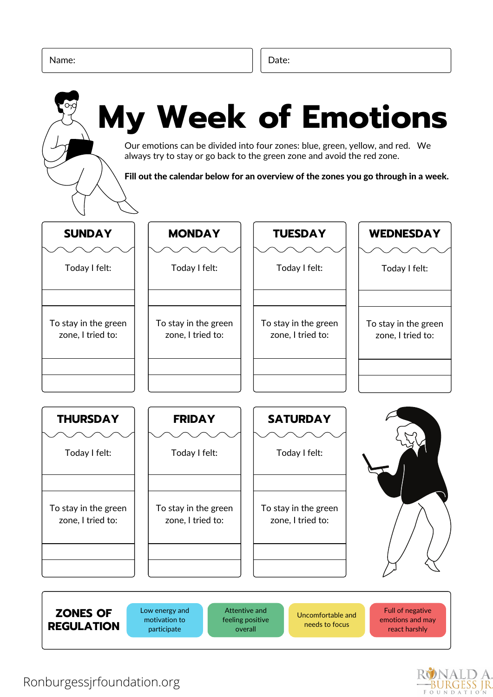

### Ronburgessjrfoundation.org